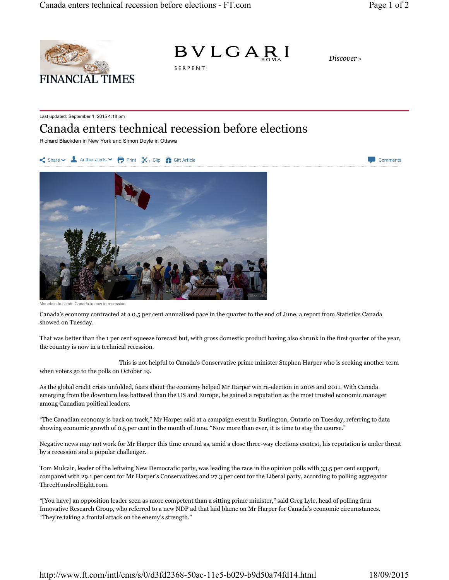



Discover>

Last updated: September 1, 2015 4:18 pm

## Canada enters technical recession before elections

SERPENTI

Richard Blackden in New York and Simon Doyle in Ottawa





Canada is now in recession

Canada's economy contracted at a 0.5 per cent annualised pace in the quarter to the end of June, a report from Statistics Canada showed on Tuesday.

That was better than the 1 per cent squeeze forecast but, with gross domestic product having also shrunk in the first quarter of the year, the country is now in a technical recession.

This is not helpful to Canada's Conservative prime minister Stephen Harper who is seeking another term when voters go to the polls on October 19.

As the global credit crisis unfolded, fears about the economy helped Mr Harper win re-election in 2008 and 2011. With Canada emerging from the downturn less battered than the US and Europe, he gained a reputation as the most trusted economic manager among Canadian political leaders.

"The Canadian economy is back on track," Mr Harper said at a campaign event in Burlington, Ontario on Tuesday, referring to data showing economic growth of 0.5 per cent in the month of June. "Now more than ever, it is time to stay the course."

Negative news may not work for Mr Harper this time around as, amid a close three-way elections contest, his reputation is under threat by a recession and a popular challenger.

Tom Mulcair, leader of the leftwing New Democratic party, was leading the race in the opinion polls with 33.5 per cent support, compared with 29.1 per cent for Mr Harper's Conservatives and 27.3 per cent for the Liberal party, according to polling aggregator ThreeHundredEight.com.

"[You have] an opposition leader seen as more competent than a sitting prime minister," said Greg Lyle, head of polling firm Innovative Research Group, who referred to a new NDP ad that laid blame on Mr Harper for Canada's economic circumstances. "They're taking a frontal attack on the enemy's strength."